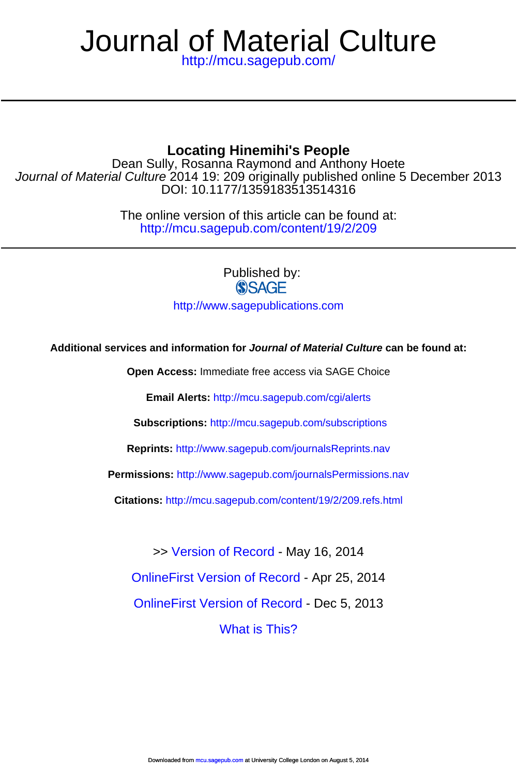# Journal of Material Culture

<http://mcu.sagepub.com/>

## **Locating Hinemihi's People**

DOI: 10.1177/1359183513514316 Journal of Material Culture 2014 19: 209 originally published online 5 December 2013 Dean Sully, Rosanna Raymond and Anthony Hoete

> <http://mcu.sagepub.com/content/19/2/209> The online version of this article can be found at:

> > Published by:<br>
> > SAGE <http://www.sagepublications.com>

**Additional services and information for Journal of Material Culture can be found at:**

**Open Access:** Immediate free access via SAGE Choice

**Email Alerts:** <http://mcu.sagepub.com/cgi/alerts>

**Subscriptions:** <http://mcu.sagepub.com/subscriptions>

**Reprints:** <http://www.sagepub.com/journalsReprints.nav>

**Permissions:** <http://www.sagepub.com/journalsPermissions.nav>

**Citations:** <http://mcu.sagepub.com/content/19/2/209.refs.html>

[What is This?](http://online.sagepub.com/site/sphelp/vorhelp.xhtml) [OnlineFirst Version of Record -](http://mcu.sagepub.com/content/early/2013/12/04/1359183513514316.full.pdf) Dec 5, 2013 [OnlineFirst Version of Record -](http://mcu.sagepub.com/content/early/2014/04/24/1359183513514316.full.pdf) Apr 25, 2014 >> [Version of Record -](http://mcu.sagepub.com/content/19/2/209.full.pdf) May 16, 2014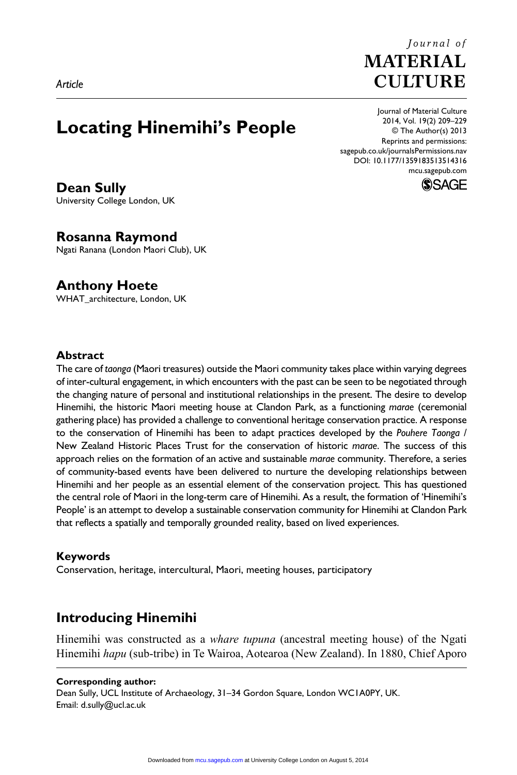## **Locating Hinemihi's People**

Journal of Material Culture 2014, Vol. 19(2) 209–229 © The Author(s) 2013 Reprints and permissions: sagepub.co.uk/journalsPermissions.nav DOI: 10.1177/1359183513514316 mcu.sagepub.com



*Journal* of

**MATERIAL CULTURE**

**Dean Sully** University College London, UK

## **Rosanna Raymond**

Ngati Ranana (London Maori Club), UK

## **Anthony Hoete**

WHAT\_architecture, London, UK

#### **Abstract**

The care of *taonga* (Maori treasures) outside the Maori community takes place within varying degrees of inter-cultural engagement, in which encounters with the past can be seen to be negotiated through the changing nature of personal and institutional relationships in the present. The desire to develop Hinemihi, the historic Maori meeting house at Clandon Park, as a functioning *marae* (ceremonial gathering place) has provided a challenge to conventional heritage conservation practice. A response to the conservation of Hinemihi has been to adapt practices developed by the *Pouhere Taonga* / New Zealand Historic Places Trust for the conservation of historic *marae*. The success of this approach relies on the formation of an active and sustainable *marae* community. Therefore, a series of community-based events have been delivered to nurture the developing relationships between Hinemihi and her people as an essential element of the conservation project. This has questioned the central role of Maori in the long-term care of Hinemihi. As a result, the formation of 'Hinemihi's People' is an attempt to develop a sustainable conservation community for Hinemihi at Clandon Park that reflects a spatially and temporally grounded reality, based on lived experiences.

#### **Keywords**

Conservation, heritage, intercultural, Maori, meeting houses, participatory

## **Introducing Hinemihi**

Hinemihi was constructed as a *whare tupuna* (ancestral meeting house) of the Ngati Hinemihi *hapu* (sub-tribe) in Te Wairoa, Aotearoa (New Zealand). In 1880, Chief Aporo

#### **Corresponding author:**

Dean Sully, UCL Institute of Archaeology, 31–34 Gordon Square, London WC1A0PY, UK. Email: [d.sully@ucl.ac.uk](mailto:d.sully@ucl.ac.uk)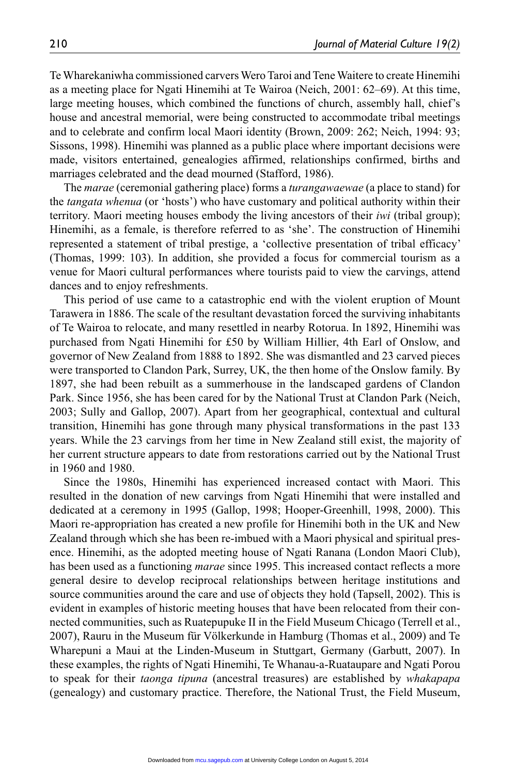Te Wharekaniwha commissioned carvers Wero Taroi and Tene Waitere to create Hinemihi as a meeting place for Ngati Hinemihi at Te Wairoa (Neich, 2001: 62–69). At this time, large meeting houses, which combined the functions of church, assembly hall, chief's house and ancestral memorial, were being constructed to accommodate tribal meetings and to celebrate and confirm local Maori identity (Brown, 2009: 262; Neich, 1994: 93; Sissons, 1998). Hinemihi was planned as a public place where important decisions were made, visitors entertained, genealogies affirmed, relationships confirmed, births and marriages celebrated and the dead mourned (Stafford, 1986).

The *marae* (ceremonial gathering place) forms a *turangawaewae* (a place to stand) for the *tangata whenua* (or 'hosts') who have customary and political authority within their territory. Maori meeting houses embody the living ancestors of their *iwi* (tribal group); Hinemihi, as a female, is therefore referred to as 'she'. The construction of Hinemihi represented a statement of tribal prestige, a 'collective presentation of tribal efficacy' (Thomas, 1999: 103). In addition, she provided a focus for commercial tourism as a venue for Maori cultural performances where tourists paid to view the carvings, attend dances and to enjoy refreshments.

This period of use came to a catastrophic end with the violent eruption of Mount Tarawera in 1886. The scale of the resultant devastation forced the surviving inhabitants of Te Wairoa to relocate, and many resettled in nearby Rotorua. In 1892, Hinemihi was purchased from Ngati Hinemihi for £50 by William Hillier, 4th Earl of Onslow, and governor of New Zealand from 1888 to 1892. She was dismantled and 23 carved pieces were transported to Clandon Park, Surrey, UK, the then home of the Onslow family. By 1897, she had been rebuilt as a summerhouse in the landscaped gardens of Clandon Park. Since 1956, she has been cared for by the National Trust at Clandon Park (Neich, 2003; Sully and Gallop, 2007). Apart from her geographical, contextual and cultural transition, Hinemihi has gone through many physical transformations in the past 133 years. While the 23 carvings from her time in New Zealand still exist, the majority of her current structure appears to date from restorations carried out by the National Trust in 1960 and 1980.

Since the 1980s, Hinemihi has experienced increased contact with Maori. This resulted in the donation of new carvings from Ngati Hinemihi that were installed and dedicated at a ceremony in 1995 (Gallop, 1998; Hooper-Greenhill, 1998, 2000). This Maori re-appropriation has created a new profile for Hinemihi both in the UK and New Zealand through which she has been re-imbued with a Maori physical and spiritual presence. Hinemihi, as the adopted meeting house of Ngati Ranana (London Maori Club), has been used as a functioning *marae* since 1995. This increased contact reflects a more general desire to develop reciprocal relationships between heritage institutions and source communities around the care and use of objects they hold (Tapsell, 2002). This is evident in examples of historic meeting houses that have been relocated from their connected communities, such as Ruatepupuke II in the Field Museum Chicago (Terrell et al., 2007), Rauru in the Museum für Völkerkunde in Hamburg (Thomas et al., 2009) and Te Wharepuni a Maui at the Linden-Museum in Stuttgart, Germany (Garbutt, 2007). In these examples, the rights of Ngati Hinemihi, Te Whanau-a-Ruataupare and Ngati Porou to speak for their *taonga tipuna* (ancestral treasures) are established by *whakapapa* (genealogy) and customary practice. Therefore, the National Trust, the Field Museum,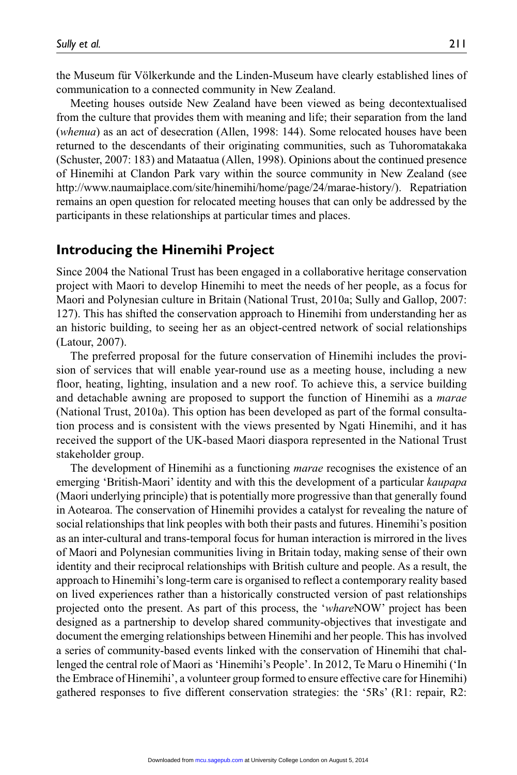the Museum für Völkerkunde and the Linden-Museum have clearly established lines of communication to a connected community in New Zealand.

Meeting houses outside New Zealand have been viewed as being decontextualised from the culture that provides them with meaning and life; their separation from the land (*whenua*) as an act of desecration (Allen, 1998: 144). Some relocated houses have been returned to the descendants of their originating communities, such as Tuhoromatakaka (Schuster, 2007: 183) and Mataatua (Allen, 1998). Opinions about the continued presence of Hinemihi at Clandon Park vary within the source community in New Zealand (see <http://www.naumaiplace.com/site/hinemihi/home/page/24/marae-history/>). Repatriation remains an open question for relocated meeting houses that can only be addressed by the participants in these relationships at particular times and places.

## **Introducing the Hinemihi Project**

Since 2004 the National Trust has been engaged in a collaborative heritage conservation project with Maori to develop Hinemihi to meet the needs of her people, as a focus for Maori and Polynesian culture in Britain (National Trust, 2010a; Sully and Gallop, 2007: 127). This has shifted the conservation approach to Hinemihi from understanding her as an historic building, to seeing her as an object-centred network of social relationships (Latour, 2007).

The preferred proposal for the future conservation of Hinemihi includes the provision of services that will enable year-round use as a meeting house, including a new floor, heating, lighting, insulation and a new roof. To achieve this, a service building and detachable awning are proposed to support the function of Hinemihi as a *marae* (National Trust, 2010a). This option has been developed as part of the formal consultation process and is consistent with the views presented by Ngati Hinemihi, and it has received the support of the UK-based Maori diaspora represented in the National Trust stakeholder group.

The development of Hinemihi as a functioning *marae* recognises the existence of an emerging 'British-Maori' identity and with this the development of a particular *kaupapa* (Maori underlying principle) that is potentially more progressive than that generally found in Aotearoa. The conservation of Hinemihi provides a catalyst for revealing the nature of social relationships that link peoples with both their pasts and futures. Hinemihi's position as an inter-cultural and trans-temporal focus for human interaction is mirrored in the lives of Maori and Polynesian communities living in Britain today, making sense of their own identity and their reciprocal relationships with British culture and people. As a result, the approach to Hinemihi's long-term care is organised to reflect a contemporary reality based on lived experiences rather than a historically constructed version of past relationships projected onto the present. As part of this process, the '*whare*NOW' project has been designed as a partnership to develop shared community-objectives that investigate and document the emerging relationships between Hinemihi and her people. This has involved a series of community-based events linked with the conservation of Hinemihi that challenged the central role of Maori as 'Hinemihi's People'. In 2012, Te Maru o Hinemihi ('In the Embrace of Hinemihi', a volunteer group formed to ensure effective care for Hinemihi) gathered responses to five different conservation strategies: the '5Rs' (R1: repair, R2: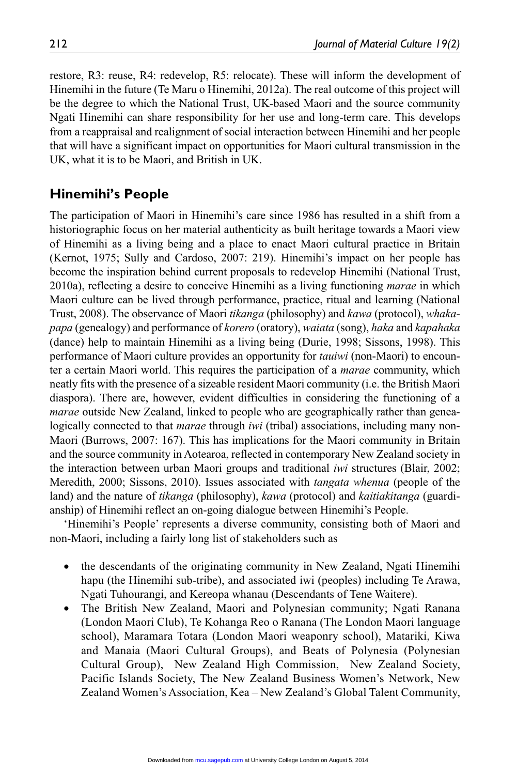restore, R3: reuse, R4: redevelop, R5: relocate). These will inform the development of Hinemihi in the future (Te Maru o Hinemihi, 2012a). The real outcome of this project will be the degree to which the National Trust, UK-based Maori and the source community Ngati Hinemihi can share responsibility for her use and long-term care. This develops from a reappraisal and realignment of social interaction between Hinemihi and her people that will have a significant impact on opportunities for Maori cultural transmission in the UK, what it is to be Maori, and British in UK.

## **Hinemihi's People**

The participation of Maori in Hinemihi's care since 1986 has resulted in a shift from a historiographic focus on her material authenticity as built heritage towards a Maori view of Hinemihi as a living being and a place to enact Maori cultural practice in Britain (Kernot, 1975; Sully and Cardoso, 2007: 219). Hinemihi's impact on her people has become the inspiration behind current proposals to redevelop Hinemihi (National Trust, 2010a), reflecting a desire to conceive Hinemihi as a living functioning *marae* in which Maori culture can be lived through performance, practice, ritual and learning (National Trust, 2008). The observance of Maori *tikanga* (philosophy) and *kawa* (protocol), *whakapapa* (genealogy) and performance of *korero* (oratory), *waiata* (song), *haka* and *kapahaka* (dance) help to maintain Hinemihi as a living being (Durie, 1998; Sissons, 1998). This performance of Maori culture provides an opportunity for *tauiwi* (non-Maori) to encounter a certain Maori world. This requires the participation of a *marae* community, which neatly fits with the presence of a sizeable resident Maori community (i.e. the British Maori diaspora). There are, however, evident difficulties in considering the functioning of a *marae* outside New Zealand, linked to people who are geographically rather than genealogically connected to that *marae* through *iwi* (tribal) associations, including many non-Maori (Burrows, 2007: 167). This has implications for the Maori community in Britain and the source community in Aotearoa, reflected in contemporary New Zealand society in the interaction between urban Maori groups and traditional *iwi* structures (Blair, 2002; Meredith, 2000; Sissons, 2010). Issues associated with *tangata whenua* (people of the land) and the nature of *tikanga* (philosophy), *kawa* (protocol) and *kaitiakitanga* (guardianship) of Hinemihi reflect an on-going dialogue between Hinemihi's People.

'Hinemihi's People' represents a diverse community, consisting both of Maori and non-Maori, including a fairly long list of stakeholders such as

- the descendants of the originating community in New Zealand, Ngati Hinemihi hapu (the Hinemihi sub-tribe), and associated iwi (peoples) including Te Arawa, Ngati Tuhourangi, and Kereopa whanau (Descendants of Tene Waitere).
- The British New Zealand, Maori and Polynesian community; Ngati Ranana (London Maori Club), Te Kohanga Reo o Ranana (The London Maori language school), Maramara Totara (London Maori weaponry school), Matariki, Kiwa and Manaia (Maori Cultural Groups), and Beats of Polynesia (Polynesian Cultural Group), New Zealand High Commission, New Zealand Society, Pacific Islands Society, The New Zealand Business Women's Network, New Zealand Women's Association, Kea – New Zealand's Global Talent Community,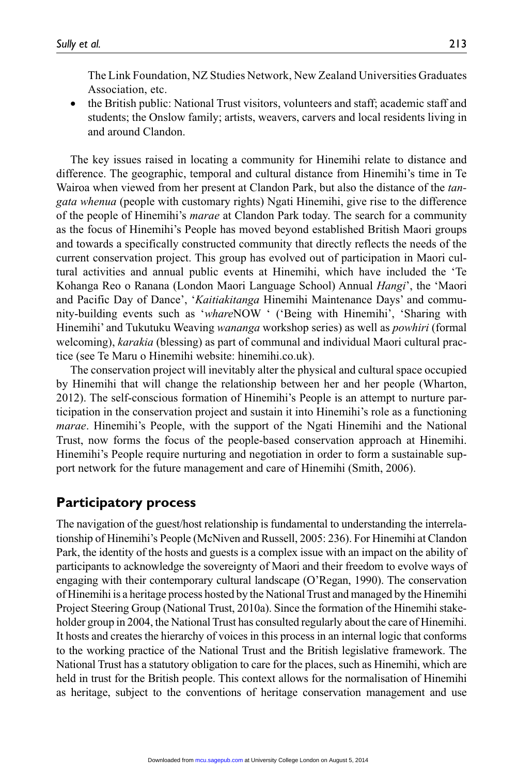The Link Foundation, NZ Studies Network, New Zealand Universities Graduates Association, etc.

•• the British public: National Trust visitors, volunteers and staff; academic staff and students; the Onslow family; artists, weavers, carvers and local residents living in and around Clandon.

The key issues raised in locating a community for Hinemihi relate to distance and difference. The geographic, temporal and cultural distance from Hinemihi's time in Te Wairoa when viewed from her present at Clandon Park, but also the distance of the *tangata whenua* (people with customary rights) Ngati Hinemihi, give rise to the difference of the people of Hinemihi's *marae* at Clandon Park today. The search for a community as the focus of Hinemihi's People has moved beyond established British Maori groups and towards a specifically constructed community that directly reflects the needs of the current conservation project. This group has evolved out of participation in Maori cultural activities and annual public events at Hinemihi, which have included the 'Te Kohanga Reo o Ranana (London Maori Language School) Annual *Hangi*', the 'Maori and Pacific Day of Dance', '*Kaitiakitanga* Hinemihi Maintenance Days' and community-building events such as '*whare*NOW ' ('Being with Hinemihi', 'Sharing with Hinemihi' and Tukutuku Weaving *wananga* workshop series) as well as *powhiri* (formal welcoming), *karakia* (blessing) as part of communal and individual Maori cultural practice (see Te Maru o Hinemihi website: hinemihi.co.uk).

The conservation project will inevitably alter the physical and cultural space occupied by Hinemihi that will change the relationship between her and her people (Wharton, 2012). The self-conscious formation of Hinemihi's People is an attempt to nurture participation in the conservation project and sustain it into Hinemihi's role as a functioning *marae*. Hinemihi's People, with the support of the Ngati Hinemihi and the National Trust, now forms the focus of the people-based conservation approach at Hinemihi. Hinemihi's People require nurturing and negotiation in order to form a sustainable support network for the future management and care of Hinemihi (Smith, 2006).

#### **Participatory process**

The navigation of the guest/host relationship is fundamental to understanding the interrelationship of Hinemihi's People (McNiven and Russell, 2005: 236). For Hinemihi at Clandon Park, the identity of the hosts and guests is a complex issue with an impact on the ability of participants to acknowledge the sovereignty of Maori and their freedom to evolve ways of engaging with their contemporary cultural landscape (O'Regan, 1990). The conservation of Hinemihi is a heritage process hosted by the National Trust and managed by the Hinemihi Project Steering Group (National Trust, 2010a). Since the formation of the Hinemihi stakeholder group in 2004, the National Trust has consulted regularly about the care of Hinemihi. It hosts and creates the hierarchy of voices in this process in an internal logic that conforms to the working practice of the National Trust and the British legislative framework. The National Trust has a statutory obligation to care for the places, such as Hinemihi, which are held in trust for the British people. This context allows for the normalisation of Hinemihi as heritage, subject to the conventions of heritage conservation management and use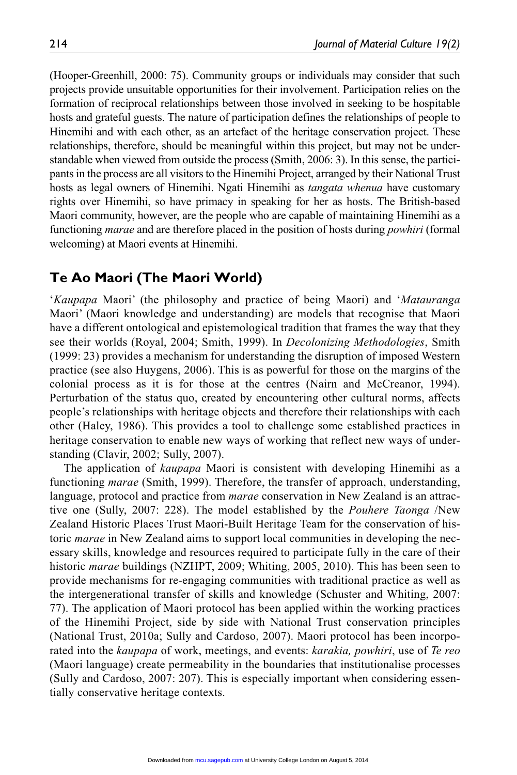(Hooper-Greenhill, 2000: 75). Community groups or individuals may consider that such projects provide unsuitable opportunities for their involvement. Participation relies on the formation of reciprocal relationships between those involved in seeking to be hospitable hosts and grateful guests. The nature of participation defines the relationships of people to Hinemihi and with each other, as an artefact of the heritage conservation project. These relationships, therefore, should be meaningful within this project, but may not be understandable when viewed from outside the process (Smith, 2006: 3). In this sense, the participants in the process are all visitors to the Hinemihi Project, arranged by their National Trust hosts as legal owners of Hinemihi. Ngati Hinemihi as *tangata whenua* have customary rights over Hinemihi, so have primacy in speaking for her as hosts. The British-based Maori community, however, are the people who are capable of maintaining Hinemihi as a functioning *marae* and are therefore placed in the position of hosts during *powhiri* (formal welcoming) at Maori events at Hinemihi.

## **Te Ao Maori (The Maori World)**

'*Kaupapa* Maori' (the philosophy and practice of being Maori) and '*Matauranga* Maori' (Maori knowledge and understanding) are models that recognise that Maori have a different ontological and epistemological tradition that frames the way that they see their worlds (Royal, 2004; Smith, 1999). In *Decolonizing Methodologies*, Smith (1999: 23) provides a mechanism for understanding the disruption of imposed Western practice (see also Huygens, 2006). This is as powerful for those on the margins of the colonial process as it is for those at the centres (Nairn and McCreanor, 1994). Perturbation of the status quo, created by encountering other cultural norms, affects people's relationships with heritage objects and therefore their relationships with each other (Haley, 1986). This provides a tool to challenge some established practices in heritage conservation to enable new ways of working that reflect new ways of understanding (Clavir, 2002; Sully, 2007).

The application of *kaupapa* Maori is consistent with developing Hinemihi as a functioning *marae* (Smith, 1999). Therefore, the transfer of approach, understanding, language, protocol and practice from *marae* conservation in New Zealand is an attractive one (Sully, 2007: 228). The model established by the *Pouhere Taonga* /New Zealand Historic Places Trust Maori-Built Heritage Team for the conservation of historic *marae* in New Zealand aims to support local communities in developing the necessary skills, knowledge and resources required to participate fully in the care of their historic *marae* buildings (NZHPT, 2009; Whiting, 2005, 2010). This has been seen to provide mechanisms for re-engaging communities with traditional practice as well as the intergenerational transfer of skills and knowledge (Schuster and Whiting, 2007: 77). The application of Maori protocol has been applied within the working practices of the Hinemihi Project, side by side with National Trust conservation principles (National Trust, 2010a; Sully and Cardoso, 2007). Maori protocol has been incorporated into the *kaupapa* of work, meetings, and events: *karakia, powhiri*, use of *Te reo* (Maori language) create permeability in the boundaries that institutionalise processes (Sully and Cardoso, 2007: 207). This is especially important when considering essentially conservative heritage contexts.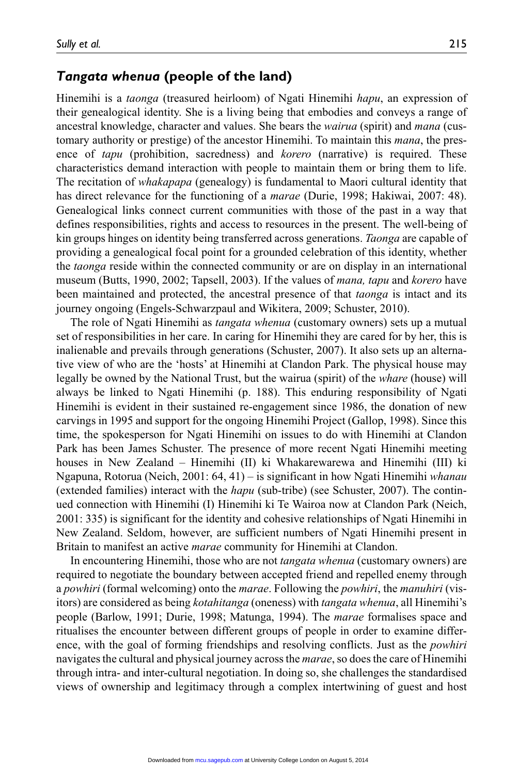#### *Tangata whenua* **(people of the land)**

Hinemihi is a *taonga* (treasured heirloom) of Ngati Hinemihi *hapu*, an expression of their genealogical identity. She is a living being that embodies and conveys a range of ancestral knowledge, character and values. She bears the *wairua* (spirit) and *mana* (customary authority or prestige) of the ancestor Hinemihi. To maintain this *mana*, the presence of *tapu* (prohibition, sacredness) and *korero* (narrative) is required. These characteristics demand interaction with people to maintain them or bring them to life. The recitation of *whakapapa* (genealogy) is fundamental to Maori cultural identity that has direct relevance for the functioning of a *marae* (Durie, 1998; Hakiwai, 2007: 48). Genealogical links connect current communities with those of the past in a way that defines responsibilities, rights and access to resources in the present. The well-being of kin groups hinges on identity being transferred across generations. *Taonga* are capable of providing a genealogical focal point for a grounded celebration of this identity, whether the *taonga* reside within the connected community or are on display in an international museum (Butts, 1990, 2002; Tapsell, 2003). If the values of *mana, tapu* and *korero* have been maintained and protected, the ancestral presence of that *taonga* is intact and its journey ongoing (Engels-Schwarzpaul and Wikitera, 2009; Schuster, 2010).

The role of Ngati Hinemihi as *tangata whenua* (customary owners) sets up a mutual set of responsibilities in her care. In caring for Hinemihi they are cared for by her, this is inalienable and prevails through generations (Schuster, 2007). It also sets up an alternative view of who are the 'hosts' at Hinemihi at Clandon Park. The physical house may legally be owned by the National Trust, but the wairua (spirit) of the *whare* (house) will always be linked to Ngati Hinemihi (p. 188). This enduring responsibility of Ngati Hinemihi is evident in their sustained re-engagement since 1986, the donation of new carvings in 1995 and support for the ongoing Hinemihi Project (Gallop, 1998). Since this time, the spokesperson for Ngati Hinemihi on issues to do with Hinemihi at Clandon Park has been James Schuster. The presence of more recent Ngati Hinemihi meeting houses in New Zealand – Hinemihi (II) ki Whakarewarewa and Hinemihi (III) ki Ngapuna, Rotorua (Neich, 2001: 64, 41) – is significant in how Ngati Hinemihi *whanau* (extended families) interact with the *hapu* (sub-tribe) (see Schuster, 2007). The continued connection with Hinemihi (I) Hinemihi ki Te Wairoa now at Clandon Park (Neich, 2001: 335) is significant for the identity and cohesive relationships of Ngati Hinemihi in New Zealand. Seldom, however, are sufficient numbers of Ngati Hinemihi present in Britain to manifest an active *marae* community for Hinemihi at Clandon.

In encountering Hinemihi, those who are not *tangata whenua* (customary owners) are required to negotiate the boundary between accepted friend and repelled enemy through a *powhiri* (formal welcoming) onto the *marae*. Following the *powhiri*, the *manuhiri* (visitors) are considered as being *kotahitanga* (oneness) with *tangata whenua*, all Hinemihi's people (Barlow, 1991; Durie, 1998; Matunga, 1994). The *marae* formalises space and ritualises the encounter between different groups of people in order to examine difference, with the goal of forming friendships and resolving conflicts. Just as the *powhiri* navigates the cultural and physical journey across the *marae*, so does the care of Hinemihi through intra- and inter-cultural negotiation. In doing so, she challenges the standardised views of ownership and legitimacy through a complex intertwining of guest and host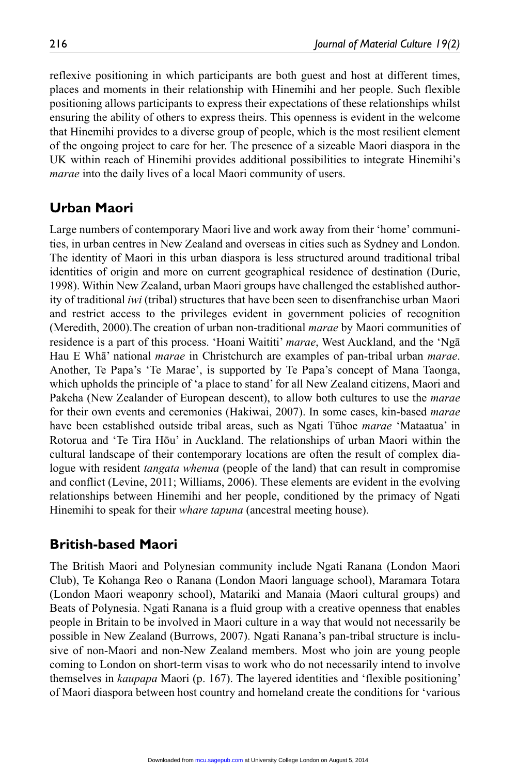reflexive positioning in which participants are both guest and host at different times, places and moments in their relationship with Hinemihi and her people. Such flexible positioning allows participants to express their expectations of these relationships whilst ensuring the ability of others to express theirs. This openness is evident in the welcome that Hinemihi provides to a diverse group of people, which is the most resilient element of the ongoing project to care for her. The presence of a sizeable Maori diaspora in the UK within reach of Hinemihi provides additional possibilities to integrate Hinemihi's *marae* into the daily lives of a local Maori community of users.

## **Urban Maori**

Large numbers of contemporary Maori live and work away from their 'home' communities, in urban centres in New Zealand and overseas in cities such as Sydney and London. The identity of Maori in this urban diaspora is less structured around traditional tribal identities of origin and more on current geographical residence of destination (Durie, 1998). Within New Zealand, urban Maori groups have challenged the established authority of traditional *iwi* (tribal) structures that have been seen to disenfranchise urban Maori and restrict access to the privileges evident in government policies of recognition (Meredith, 2000).The creation of urban non-traditional *marae* by Maori communities of residence is a part of this process. 'Hoani Waititi' *marae*, West Auckland, and the 'Ngā Hau E Whā' national *marae* in Christchurch are examples of pan-tribal urban *marae*. Another, Te Papa's 'Te Marae', is supported by Te Papa's concept of Mana Taonga, which upholds the principle of 'a place to stand' for all New Zealand citizens, Maori and Pakeha (New Zealander of European descent), to allow both cultures to use the *marae* for their own events and ceremonies (Hakiwai, 2007). In some cases, kin-based *marae* have been established outside tribal areas, such as Ngati Tūhoe *marae* 'Mataatua' in Rotorua and 'Te Tira Hōu' in Auckland. The relationships of urban Maori within the cultural landscape of their contemporary locations are often the result of complex dialogue with resident *tangata whenua* (people of the land) that can result in compromise and conflict (Levine, 2011; Williams, 2006). These elements are evident in the evolving relationships between Hinemihi and her people, conditioned by the primacy of Ngati Hinemihi to speak for their *whare tapuna* (ancestral meeting house).

## **British-based Maori**

The British Maori and Polynesian community include Ngati Ranana (London Maori Club), Te Kohanga Reo o Ranana (London Maori language school), Maramara Totara (London Maori weaponry school), Matariki and Manaia (Maori cultural groups) and Beats of Polynesia. Ngati Ranana is a fluid group with a creative openness that enables people in Britain to be involved in Maori culture in a way that would not necessarily be possible in New Zealand (Burrows, 2007). Ngati Ranana's pan-tribal structure is inclusive of non-Maori and non-New Zealand members. Most who join are young people coming to London on short-term visas to work who do not necessarily intend to involve themselves in *kaupapa* Maori (p. 167). The layered identities and 'flexible positioning' of Maori diaspora between host country and homeland create the conditions for 'various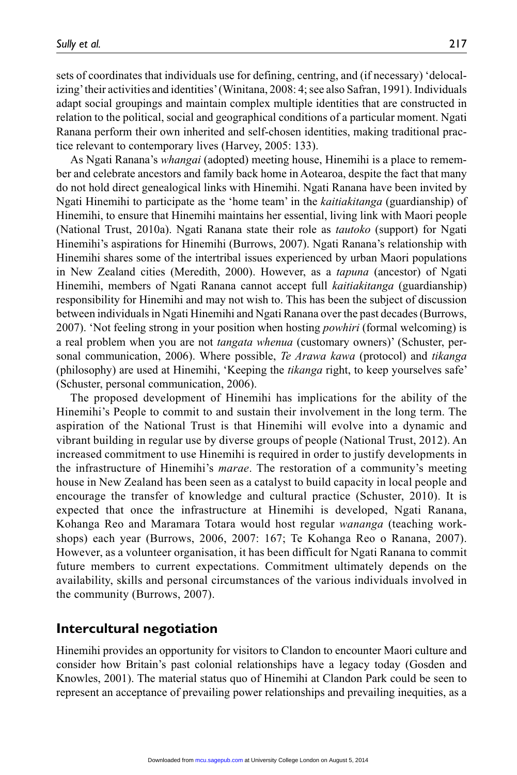sets of coordinates that individuals use for defining, centring, and (if necessary) 'delocalizing' their activities and identities' (Winitana, 2008: 4; see also Safran, 1991). Individuals adapt social groupings and maintain complex multiple identities that are constructed in relation to the political, social and geographical conditions of a particular moment. Ngati Ranana perform their own inherited and self-chosen identities, making traditional practice relevant to contemporary lives (Harvey, 2005: 133).

As Ngati Ranana's *whangai* (adopted) meeting house, Hinemihi is a place to remember and celebrate ancestors and family back home in Aotearoa, despite the fact that many do not hold direct genealogical links with Hinemihi. Ngati Ranana have been invited by Ngati Hinemihi to participate as the 'home team' in the *kaitiakitanga* (guardianship) of Hinemihi, to ensure that Hinemihi maintains her essential, living link with Maori people (National Trust, 2010a). Ngati Ranana state their role as *tautoko* (support) for Ngati Hinemihi's aspirations for Hinemihi (Burrows, 2007). Ngati Ranana's relationship with Hinemihi shares some of the intertribal issues experienced by urban Maori populations in New Zealand cities (Meredith, 2000). However, as a *tapuna* (ancestor) of Ngati Hinemihi, members of Ngati Ranana cannot accept full *kaitiakitanga* (guardianship) responsibility for Hinemihi and may not wish to. This has been the subject of discussion between individuals in Ngati Hinemihi and Ngati Ranana over the past decades (Burrows, 2007). 'Not feeling strong in your position when hosting *powhiri* (formal welcoming) is a real problem when you are not *tangata whenua* (customary owners)' (Schuster, personal communication, 2006). Where possible, *Te Arawa kawa* (protocol) and *tikanga* (philosophy) are used at Hinemihi, 'Keeping the *tikanga* right, to keep yourselves safe' (Schuster, personal communication, 2006).

The proposed development of Hinemihi has implications for the ability of the Hinemihi's People to commit to and sustain their involvement in the long term. The aspiration of the National Trust is that Hinemihi will evolve into a dynamic and vibrant building in regular use by diverse groups of people (National Trust, 2012). An increased commitment to use Hinemihi is required in order to justify developments in the infrastructure of Hinemihi's *marae*. The restoration of a community's meeting house in New Zealand has been seen as a catalyst to build capacity in local people and encourage the transfer of knowledge and cultural practice (Schuster, 2010). It is expected that once the infrastructure at Hinemihi is developed, Ngati Ranana, Kohanga Reo and Maramara Totara would host regular *wananga* (teaching workshops) each year (Burrows, 2006, 2007: 167; Te Kohanga Reo o Ranana, 2007). However, as a volunteer organisation, it has been difficult for Ngati Ranana to commit future members to current expectations. Commitment ultimately depends on the availability, skills and personal circumstances of the various individuals involved in the community (Burrows, 2007).

#### **Intercultural negotiation**

Hinemihi provides an opportunity for visitors to Clandon to encounter Maori culture and consider how Britain's past colonial relationships have a legacy today (Gosden and Knowles, 2001). The material status quo of Hinemihi at Clandon Park could be seen to represent an acceptance of prevailing power relationships and prevailing inequities, as a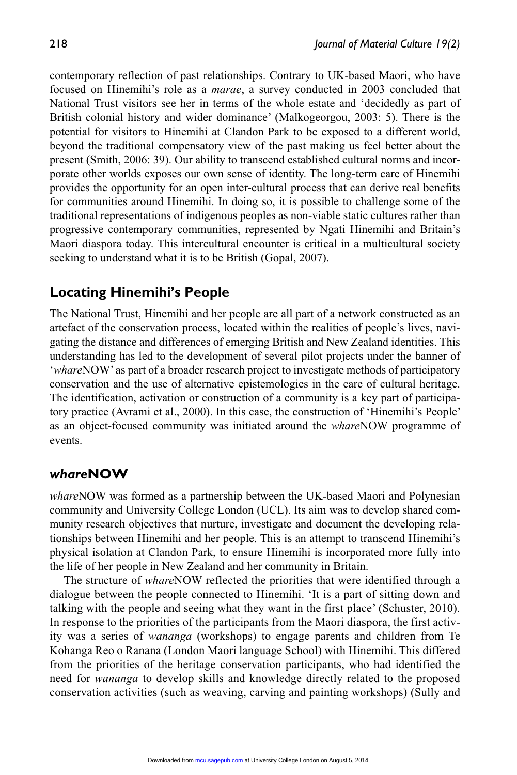contemporary reflection of past relationships. Contrary to UK-based Maori, who have focused on Hinemihi's role as a *marae*, a survey conducted in 2003 concluded that National Trust visitors see her in terms of the whole estate and 'decidedly as part of British colonial history and wider dominance' (Malkogeorgou, 2003: 5). There is the potential for visitors to Hinemihi at Clandon Park to be exposed to a different world, beyond the traditional compensatory view of the past making us feel better about the present (Smith, 2006: 39). Our ability to transcend established cultural norms and incorporate other worlds exposes our own sense of identity. The long-term care of Hinemihi provides the opportunity for an open inter-cultural process that can derive real benefits for communities around Hinemihi. In doing so, it is possible to challenge some of the traditional representations of indigenous peoples as non-viable static cultures rather than progressive contemporary communities, represented by Ngati Hinemihi and Britain's Maori diaspora today. This intercultural encounter is critical in a multicultural society seeking to understand what it is to be British (Gopal, 2007).

#### **Locating Hinemihi's People**

The National Trust, Hinemihi and her people are all part of a network constructed as an artefact of the conservation process, located within the realities of people's lives, navigating the distance and differences of emerging British and New Zealand identities. This understanding has led to the development of several pilot projects under the banner of '*whare*NOW' as part of a broader research project to investigate methods of participatory conservation and the use of alternative epistemologies in the care of cultural heritage. The identification, activation or construction of a community is a key part of participatory practice (Avrami et al., 2000). In this case, the construction of 'Hinemihi's People' as an object-focused community was initiated around the *whare*NOW programme of events.

#### *whare***NOW**

*whare*NOW was formed as a partnership between the UK-based Maori and Polynesian community and University College London (UCL). Its aim was to develop shared community research objectives that nurture, investigate and document the developing relationships between Hinemihi and her people. This is an attempt to transcend Hinemihi's physical isolation at Clandon Park, to ensure Hinemihi is incorporated more fully into the life of her people in New Zealand and her community in Britain.

The structure of *whare*NOW reflected the priorities that were identified through a dialogue between the people connected to Hinemihi. 'It is a part of sitting down and talking with the people and seeing what they want in the first place' (Schuster, 2010). In response to the priorities of the participants from the Maori diaspora, the first activity was a series of *wananga* (workshops) to engage parents and children from Te Kohanga Reo o Ranana (London Maori language School) with Hinemihi. This differed from the priorities of the heritage conservation participants, who had identified the need for *wananga* to develop skills and knowledge directly related to the proposed conservation activities (such as weaving, carving and painting workshops) (Sully and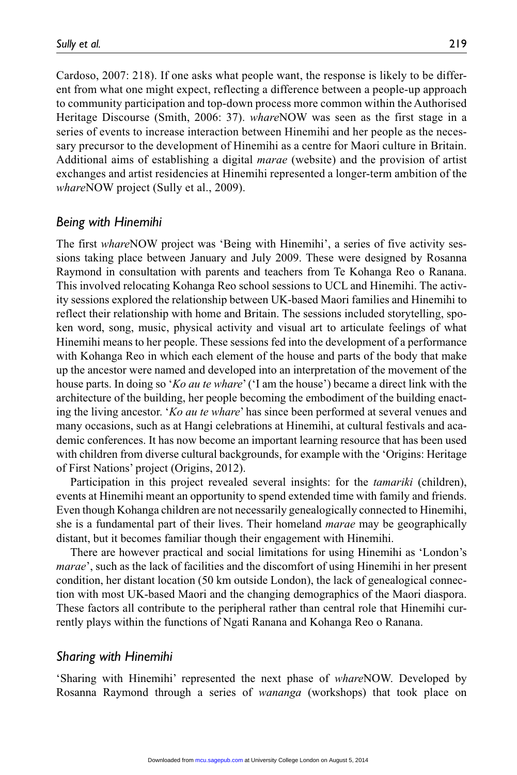Cardoso, 2007: 218). If one asks what people want, the response is likely to be different from what one might expect, reflecting a difference between a people-up approach to community participation and top-down process more common within the Authorised Heritage Discourse (Smith, 2006: 37). *whare*NOW was seen as the first stage in a series of events to increase interaction between Hinemihi and her people as the necessary precursor to the development of Hinemihi as a centre for Maori culture in Britain. Additional aims of establishing a digital *marae* (website) and the provision of artist exchanges and artist residencies at Hinemihi represented a longer-term ambition of the *whare*NOW project (Sully et al., 2009).

#### *Being with Hinemihi*

The first *whare*NOW project was 'Being with Hinemihi', a series of five activity sessions taking place between January and July 2009. These were designed by Rosanna Raymond in consultation with parents and teachers from Te Kohanga Reo o Ranana. This involved relocating Kohanga Reo school sessions to UCL and Hinemihi. The activity sessions explored the relationship between UK-based Maori families and Hinemihi to reflect their relationship with home and Britain. The sessions included storytelling, spoken word, song, music, physical activity and visual art to articulate feelings of what Hinemihi means to her people. These sessions fed into the development of a performance with Kohanga Reo in which each element of the house and parts of the body that make up the ancestor were named and developed into an interpretation of the movement of the house parts. In doing so '*Ko au te whare*' ('I am the house') became a direct link with the architecture of the building, her people becoming the embodiment of the building enacting the living ancestor. '*Ko au te whare*' has since been performed at several venues and many occasions, such as at Hangi celebrations at Hinemihi, at cultural festivals and academic conferences. It has now become an important learning resource that has been used with children from diverse cultural backgrounds, for example with the 'Origins: Heritage of First Nations' project (Origins, 2012).

Participation in this project revealed several insights: for the *tamariki* (children), events at Hinemihi meant an opportunity to spend extended time with family and friends. Even though Kohanga children are not necessarily genealogically connected to Hinemihi, she is a fundamental part of their lives. Their homeland *marae* may be geographically distant, but it becomes familiar though their engagement with Hinemihi.

There are however practical and social limitations for using Hinemihi as 'London's *marae*', such as the lack of facilities and the discomfort of using Hinemihi in her present condition, her distant location (50 km outside London), the lack of genealogical connection with most UK-based Maori and the changing demographics of the Maori diaspora. These factors all contribute to the peripheral rather than central role that Hinemihi currently plays within the functions of Ngati Ranana and Kohanga Reo o Ranana.

#### *Sharing with Hinemihi*

'Sharing with Hinemihi' represented the next phase of *whare*NOW. Developed by Rosanna Raymond through a series of *wananga* (workshops) that took place on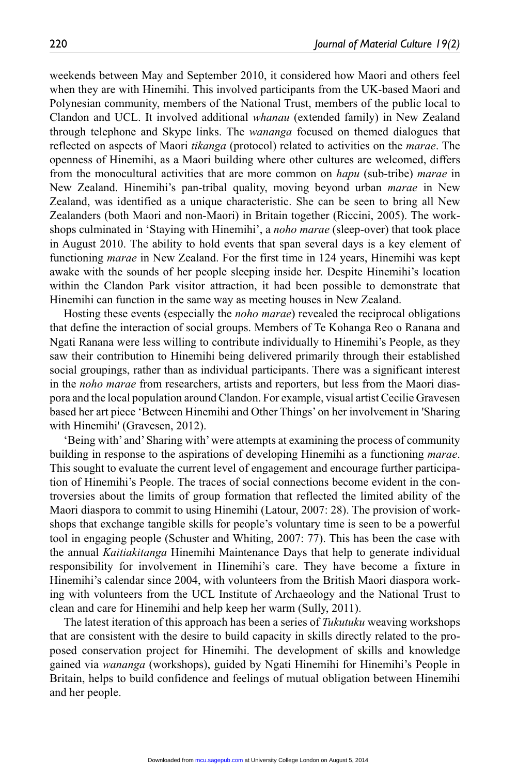weekends between May and September 2010, it considered how Maori and others feel when they are with Hinemihi. This involved participants from the UK-based Maori and Polynesian community, members of the National Trust, members of the public local to Clandon and UCL. It involved additional *whanau* (extended family) in New Zealand through telephone and Skype links. The *wananga* focused on themed dialogues that reflected on aspects of Maori *tikanga* (protocol) related to activities on the *marae*. The openness of Hinemihi, as a Maori building where other cultures are welcomed, differs from the monocultural activities that are more common on *hapu* (sub-tribe) *marae* in New Zealand. Hinemihi's pan-tribal quality, moving beyond urban *marae* in New Zealand, was identified as a unique characteristic. She can be seen to bring all New Zealanders (both Maori and non-Maori) in Britain together (Riccini, 2005). The workshops culminated in 'Staying with Hinemihi', a *noho marae* (sleep-over) that took place in August 2010. The ability to hold events that span several days is a key element of functioning *marae* in New Zealand. For the first time in 124 years, Hinemihi was kept awake with the sounds of her people sleeping inside her. Despite Hinemihi's location within the Clandon Park visitor attraction, it had been possible to demonstrate that Hinemihi can function in the same way as meeting houses in New Zealand.

Hosting these events (especially the *noho marae*) revealed the reciprocal obligations that define the interaction of social groups. Members of Te Kohanga Reo o Ranana and Ngati Ranana were less willing to contribute individually to Hinemihi's People, as they saw their contribution to Hinemihi being delivered primarily through their established social groupings, rather than as individual participants. There was a significant interest in the *noho marae* from researchers, artists and reporters, but less from the Maori diaspora and the local population around Clandon. For example, visual artist Cecilie Gravesen based her art piece 'Between Hinemihi and Other Things' on her involvement in 'Sharing with Hinemihi' (Gravesen, 2012).

'Being with' and' Sharing with' were attempts at examining the process of community building in response to the aspirations of developing Hinemihi as a functioning *marae*. This sought to evaluate the current level of engagement and encourage further participation of Hinemihi's People. The traces of social connections become evident in the controversies about the limits of group formation that reflected the limited ability of the Maori diaspora to commit to using Hinemihi (Latour, 2007: 28). The provision of workshops that exchange tangible skills for people's voluntary time is seen to be a powerful tool in engaging people (Schuster and Whiting, 2007: 77). This has been the case with the annual *Kaitiakitanga* Hinemihi Maintenance Days that help to generate individual responsibility for involvement in Hinemihi's care. They have become a fixture in Hinemihi's calendar since 2004, with volunteers from the British Maori diaspora working with volunteers from the UCL Institute of Archaeology and the National Trust to clean and care for Hinemihi and help keep her warm (Sully, 2011).

The latest iteration of this approach has been a series of *Tukutuku* weaving workshops that are consistent with the desire to build capacity in skills directly related to the proposed conservation project for Hinemihi. The development of skills and knowledge gained via *wananga* (workshops), guided by Ngati Hinemihi for Hinemihi's People in Britain, helps to build confidence and feelings of mutual obligation between Hinemihi and her people.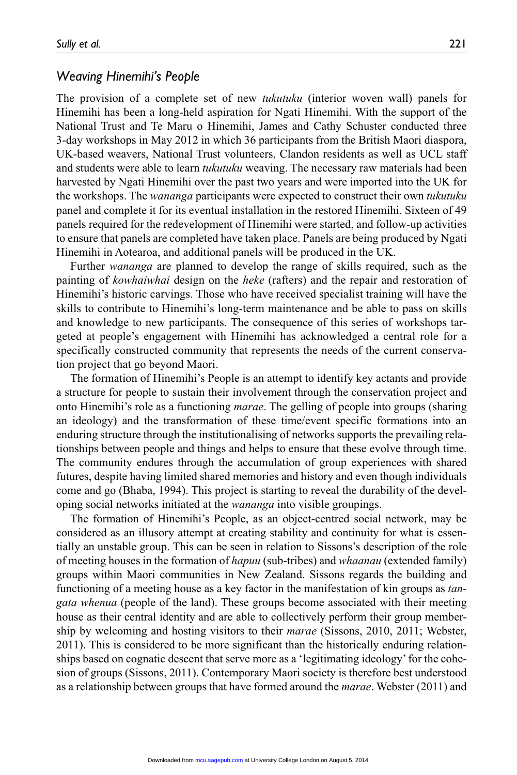#### *Weaving Hinemihi's People*

The provision of a complete set of new *tukutuku* (interior woven wall) panels for Hinemihi has been a long-held aspiration for Ngati Hinemihi. With the support of the National Trust and Te Maru o Hinemihi, James and Cathy Schuster conducted three 3-day workshops in May 2012 in which 36 participants from the British Maori diaspora, UK-based weavers, National Trust volunteers, Clandon residents as well as UCL staff and students were able to learn *tukutuku* weaving. The necessary raw materials had been harvested by Ngati Hinemihi over the past two years and were imported into the UK for the workshops. The *wananga* participants were expected to construct their own *tukutuku* panel and complete it for its eventual installation in the restored Hinemihi. Sixteen of 49 panels required for the redevelopment of Hinemihi were started, and follow-up activities to ensure that panels are completed have taken place. Panels are being produced by Ngati Hinemihi in Aotearoa, and additional panels will be produced in the UK.

Further *wananga* are planned to develop the range of skills required, such as the painting of *kowhaiwhai* design on the *heke* (rafters) and the repair and restoration of Hinemihi's historic carvings. Those who have received specialist training will have the skills to contribute to Hinemihi's long-term maintenance and be able to pass on skills and knowledge to new participants. The consequence of this series of workshops targeted at people's engagement with Hinemihi has acknowledged a central role for a specifically constructed community that represents the needs of the current conservation project that go beyond Maori.

The formation of Hinemihi's People is an attempt to identify key actants and provide a structure for people to sustain their involvement through the conservation project and onto Hinemihi's role as a functioning *marae*. The gelling of people into groups (sharing an ideology) and the transformation of these time/event specific formations into an enduring structure through the institutionalising of networks supports the prevailing relationships between people and things and helps to ensure that these evolve through time. The community endures through the accumulation of group experiences with shared futures, despite having limited shared memories and history and even though individuals come and go (Bhaba, 1994). This project is starting to reveal the durability of the developing social networks initiated at the *wananga* into visible groupings.

The formation of Hinemihi's People, as an object-centred social network, may be considered as an illusory attempt at creating stability and continuity for what is essentially an unstable group. This can be seen in relation to Sissons's description of the role of meeting houses in the formation of *hapuu* (sub-tribes) and *whaanau* (extended family) groups within Maori communities in New Zealand. Sissons regards the building and functioning of a meeting house as a key factor in the manifestation of kin groups as *tangata whenua* (people of the land). These groups become associated with their meeting house as their central identity and are able to collectively perform their group membership by welcoming and hosting visitors to their *marae* (Sissons, 2010, 2011; Webster, 2011). This is considered to be more significant than the historically enduring relationships based on cognatic descent that serve more as a 'legitimating ideology' for the cohesion of groups (Sissons, 2011). Contemporary Maori society is therefore best understood as a relationship between groups that have formed around the *marae*. Webster (2011) and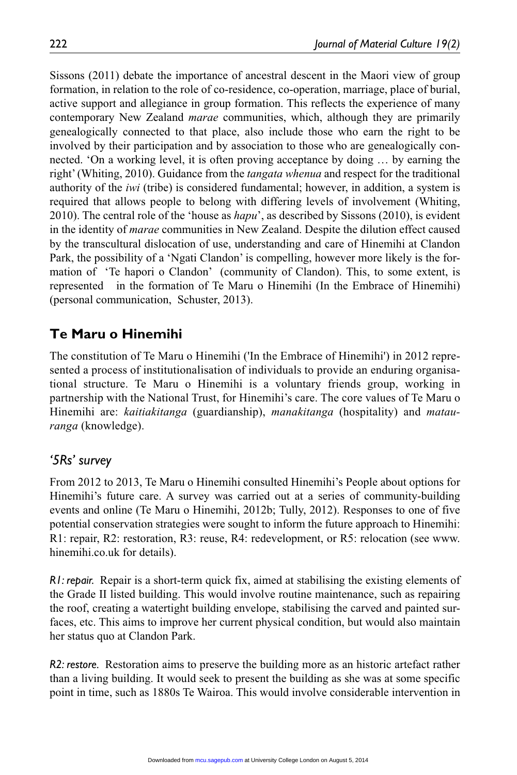Sissons (2011) debate the importance of ancestral descent in the Maori view of group formation, in relation to the role of co-residence, co-operation, marriage, place of burial, active support and allegiance in group formation. This reflects the experience of many contemporary New Zealand *marae* communities, which, although they are primarily genealogically connected to that place, also include those who earn the right to be involved by their participation and by association to those who are genealogically connected. 'On a working level, it is often proving acceptance by doing … by earning the right' (Whiting, 2010). Guidance from the *tangata whenua* and respect for the traditional authority of the *iwi* (tribe) is considered fundamental; however, in addition, a system is required that allows people to belong with differing levels of involvement (Whiting, 2010). The central role of the 'house as *hapu*', as described by Sissons (2010), is evident in the identity of *marae* communities in New Zealand. Despite the dilution effect caused by the transcultural dislocation of use, understanding and care of Hinemihi at Clandon Park, the possibility of a 'Ngati Clandon' is compelling, however more likely is the formation of 'Te hapori o Clandon' (community of Clandon). This, to some extent, is represented in the formation of Te Maru o Hinemihi (In the Embrace of Hinemihi) (personal communication, Schuster, 2013).

## **Te Maru o Hinemihi**

The constitution of Te Maru o Hinemihi ('In the Embrace of Hinemihi') in 2012 represented a process of institutionalisation of individuals to provide an enduring organisational structure. Te Maru o Hinemihi is a voluntary friends group, working in partnership with the National Trust, for Hinemihi's care. The core values of Te Maru o Hinemihi are: *kaitiakitanga* (guardianship), *manakitanga* (hospitality) and *matauranga* (knowledge).

## *'5Rs' survey*

From 2012 to 2013, Te Maru o Hinemihi consulted Hinemihi's People about options for Hinemihi's future care. A survey was carried out at a series of community-building events and online (Te Maru o Hinemihi, 2012b; Tully, 2012). Responses to one of five potential conservation strategies were sought to inform the future approach to Hinemihi: R1: repair, R2: restoration, R3: reuse, R4: redevelopment, or R5: relocation (see [www.](http://www.hinemihi.co.uk) [hinemihi.co.uk](http://www.hinemihi.co.uk) for details).

*R1: repair.* Repair is a short-term quick fix, aimed at stabilising the existing elements of the Grade II listed building. This would involve routine maintenance, such as repairing the roof, creating a watertight building envelope, stabilising the carved and painted surfaces, etc. This aims to improve her current physical condition, but would also maintain her status quo at Clandon Park.

*R2: restore.* Restoration aims to preserve the building more as an historic artefact rather than a living building. It would seek to present the building as she was at some specific point in time, such as 1880s Te Wairoa. This would involve considerable intervention in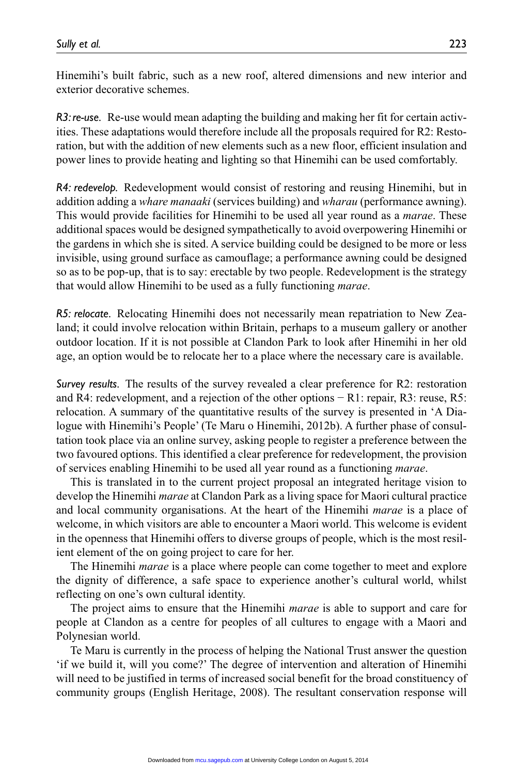Hinemihi's built fabric, such as a new roof, altered dimensions and new interior and exterior decorative schemes.

*R3: re-use.* Re-use would mean adapting the building and making her fit for certain activities. These adaptations would therefore include all the proposals required for R2: Restoration, but with the addition of new elements such as a new floor, efficient insulation and power lines to provide heating and lighting so that Hinemihi can be used comfortably.

*R4: redevelop.* Redevelopment would consist of restoring and reusing Hinemihi, but in addition adding a *whare manaaki* (services building) and *wharau* (performance awning). This would provide facilities for Hinemihi to be used all year round as a *marae*. These additional spaces would be designed sympathetically to avoid overpowering Hinemihi or the gardens in which she is sited. A service building could be designed to be more or less invisible, using ground surface as camouflage; a performance awning could be designed so as to be pop-up, that is to say: erectable by two people. Redevelopment is the strategy that would allow Hinemihi to be used as a fully functioning *marae*.

*R5: relocate.* Relocating Hinemihi does not necessarily mean repatriation to New Zealand; it could involve relocation within Britain, perhaps to a museum gallery or another outdoor location. If it is not possible at Clandon Park to look after Hinemihi in her old age, an option would be to relocate her to a place where the necessary care is available.

*Survey results.* The results of the survey revealed a clear preference for R2: restoration and R4: redevelopment, and a rejection of the other options − R1: repair, R3: reuse, R5: relocation. A summary of the quantitative results of the survey is presented in 'A Dialogue with Hinemihi's People' (Te Maru o Hinemihi, 2012b). A further phase of consultation took place via an online survey, asking people to register a preference between the two favoured options. This identified a clear preference for redevelopment, the provision of services enabling Hinemihi to be used all year round as a functioning *marae*.

This is translated in to the current project proposal an integrated heritage vision to develop the Hinemihi *marae* at Clandon Park as a living space for Maori cultural practice and local community organisations. At the heart of the Hinemihi *marae* is a place of welcome, in which visitors are able to encounter a Maori world. This welcome is evident in the openness that Hinemihi offers to diverse groups of people, which is the most resilient element of the on going project to care for her.

The Hinemihi *marae* is a place where people can come together to meet and explore the dignity of difference, a safe space to experience another's cultural world, whilst reflecting on one's own cultural identity.

The project aims to ensure that the Hinemihi *marae* is able to support and care for people at Clandon as a centre for peoples of all cultures to engage with a Maori and Polynesian world.

Te Maru is currently in the process of helping the National Trust answer the question 'if we build it, will you come?' The degree of intervention and alteration of Hinemihi will need to be justified in terms of increased social benefit for the broad constituency of community groups (English Heritage, 2008). The resultant conservation response will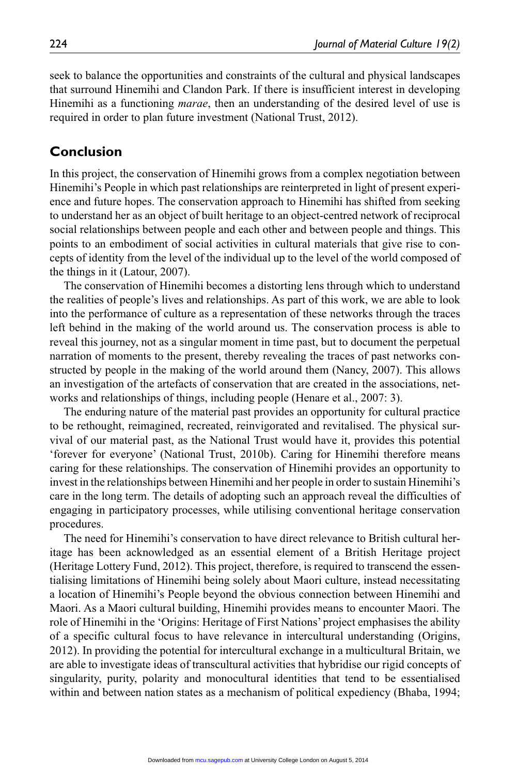seek to balance the opportunities and constraints of the cultural and physical landscapes that surround Hinemihi and Clandon Park. If there is insufficient interest in developing Hinemihi as a functioning *marae*, then an understanding of the desired level of use is required in order to plan future investment (National Trust, 2012).

#### **Conclusion**

In this project, the conservation of Hinemihi grows from a complex negotiation between Hinemihi's People in which past relationships are reinterpreted in light of present experience and future hopes. The conservation approach to Hinemihi has shifted from seeking to understand her as an object of built heritage to an object-centred network of reciprocal social relationships between people and each other and between people and things. This points to an embodiment of social activities in cultural materials that give rise to concepts of identity from the level of the individual up to the level of the world composed of the things in it (Latour, 2007).

The conservation of Hinemihi becomes a distorting lens through which to understand the realities of people's lives and relationships. As part of this work, we are able to look into the performance of culture as a representation of these networks through the traces left behind in the making of the world around us. The conservation process is able to reveal this journey, not as a singular moment in time past, but to document the perpetual narration of moments to the present, thereby revealing the traces of past networks constructed by people in the making of the world around them (Nancy, 2007). This allows an investigation of the artefacts of conservation that are created in the associations, networks and relationships of things, including people (Henare et al., 2007: 3).

The enduring nature of the material past provides an opportunity for cultural practice to be rethought, reimagined, recreated, reinvigorated and revitalised. The physical survival of our material past, as the National Trust would have it, provides this potential 'forever for everyone' (National Trust, 2010b). Caring for Hinemihi therefore means caring for these relationships. The conservation of Hinemihi provides an opportunity to invest in the relationships between Hinemihi and her people in order to sustain Hinemihi's care in the long term. The details of adopting such an approach reveal the difficulties of engaging in participatory processes, while utilising conventional heritage conservation procedures.

The need for Hinemihi's conservation to have direct relevance to British cultural heritage has been acknowledged as an essential element of a British Heritage project (Heritage Lottery Fund, 2012). This project, therefore, is required to transcend the essentialising limitations of Hinemihi being solely about Maori culture, instead necessitating a location of Hinemihi's People beyond the obvious connection between Hinemihi and Maori. As a Maori cultural building, Hinemihi provides means to encounter Maori. The role of Hinemihi in the 'Origins: Heritage of First Nations' project emphasises the ability of a specific cultural focus to have relevance in intercultural understanding (Origins, 2012). In providing the potential for intercultural exchange in a multicultural Britain, we are able to investigate ideas of transcultural activities that hybridise our rigid concepts of singularity, purity, polarity and monocultural identities that tend to be essentialised within and between nation states as a mechanism of political expediency (Bhaba, 1994;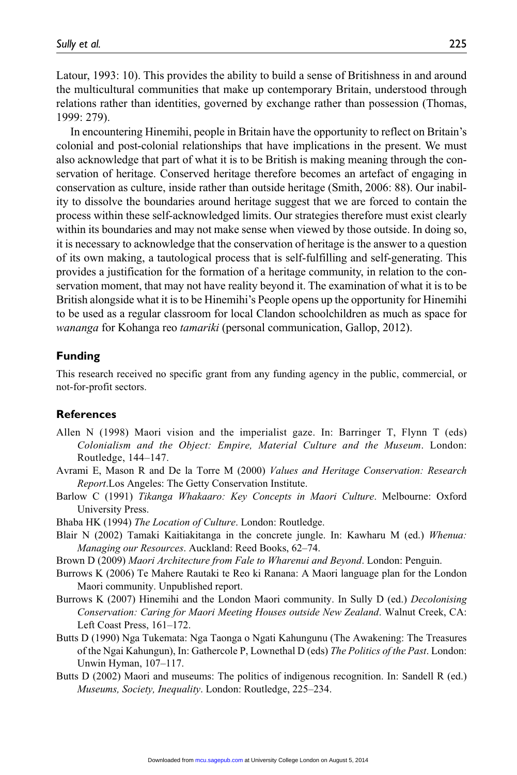Latour, 1993: 10). This provides the ability to build a sense of Britishness in and around the multicultural communities that make up contemporary Britain, understood through relations rather than identities, governed by exchange rather than possession (Thomas, 1999: 279).

In encountering Hinemihi, people in Britain have the opportunity to reflect on Britain's colonial and post-colonial relationships that have implications in the present. We must also acknowledge that part of what it is to be British is making meaning through the conservation of heritage. Conserved heritage therefore becomes an artefact of engaging in conservation as culture, inside rather than outside heritage (Smith, 2006: 88). Our inability to dissolve the boundaries around heritage suggest that we are forced to contain the process within these self-acknowledged limits. Our strategies therefore must exist clearly within its boundaries and may not make sense when viewed by those outside. In doing so, it is necessary to acknowledge that the conservation of heritage is the answer to a question of its own making, a tautological process that is self-fulfilling and self-generating. This provides a justification for the formation of a heritage community, in relation to the conservation moment, that may not have reality beyond it. The examination of what it is to be British alongside what it is to be Hinemihi's People opens up the opportunity for Hinemihi to be used as a regular classroom for local Clandon schoolchildren as much as space for *wananga* for Kohanga reo *tamariki* (personal communication, Gallop, 2012).

#### **Funding**

This research received no specific grant from any funding agency in the public, commercial, or not-for-profit sectors.

#### **References**

- Allen N (1998) Maori vision and the imperialist gaze. In: Barringer T, Flynn T (eds) *Colonialism and the Object: Empire, Material Culture and the Museum*. London: Routledge, 144–147.
- Avrami E, Mason R and De la Torre M (2000) *Values and Heritage Conservation: Research Report*.Los Angeles: The Getty Conservation Institute.
- Barlow C (1991) *Tikanga Whakaaro: Key Concepts in Maori Culture*. Melbourne: Oxford University Press.
- Bhaba HK (1994) *The Location of Culture*. London: Routledge.
- Blair N (2002) Tamaki Kaitiakitanga in the concrete jungle. In: Kawharu M (ed.) *Whenua: Managing our Resources*. Auckland: Reed Books, 62–74.
- Brown D (2009) *Maori Architecture from Fale to Wharenui and Beyond*. London: Penguin.
- Burrows K (2006) Te Mahere Rautaki te Reo ki Ranana: A Maori language plan for the London Maori community. Unpublished report.
- Burrows K (2007) Hinemihi and the London Maori community. In Sully D (ed.) *Decolonising Conservation: Caring for Maori Meeting Houses outside New Zealand*. Walnut Creek, CA: Left Coast Press, 161–172.
- Butts D (1990) Nga Tukemata: Nga Taonga o Ngati Kahungunu (The Awakening: The Treasures of the Ngai Kahungun), In: Gathercole P, Lownethal D (eds) *The Politics of the Past*. London: Unwin Hyman, 107–117.
- Butts D (2002) Maori and museums: The politics of indigenous recognition. In: Sandell R (ed.) *Museums, Society, Inequality*. London: Routledge, 225–234.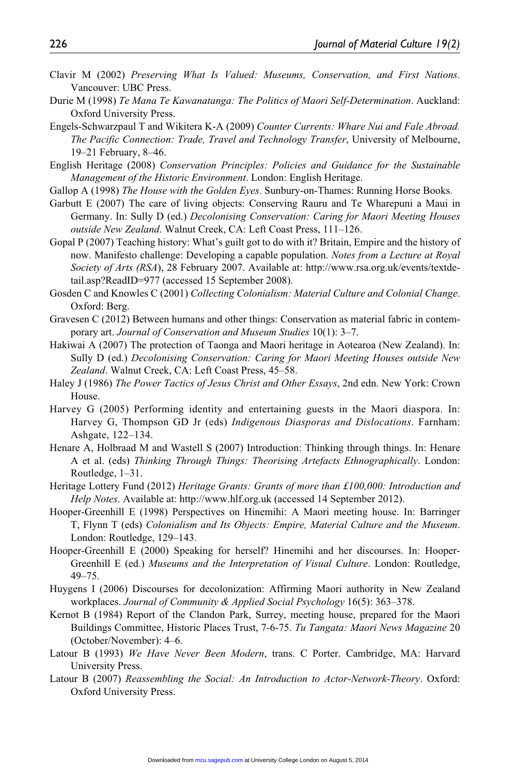- Clavir M (2002) *Preserving What Is Valued: Museums, Conservation, and First Nations*. Vancouver: UBC Press.
- Durie M (1998) *Te Mana Te Kawanatanga: The Politics of Maori Self-Determination*. Auckland: Oxford University Press.
- Engels-Schwarzpaul T and Wikitera K-A (2009) *Counter Currents: Whare Nui and Fale Abroad. The Pacific Connection: Trade, Travel and Technology Transfer*, University of Melbourne, 19–21 February, 8–46.
- English Heritage (2008) *Conservation Principles: Policies and Guidance for the Sustainable Management of the Historic Environment*. London: English Heritage.
- Gallop A (1998) *The House with the Golden Eyes*. Sunbury-on-Thames: Running Horse Books.
- Garbutt E (2007) The care of living objects: Conserving Rauru and Te Wharepuni a Maui in Germany. In: Sully D (ed.) *Decolonising Conservation: Caring for Maori Meeting Houses outside New Zealand*. Walnut Creek, CA: Left Coast Press, 111–126.
- Gopal P (2007) Teaching history: What's guilt got to do with it? Britain, Empire and the history of now. Manifesto challenge: Developing a capable population. *Notes from a Lecture at Royal Society of Arts (RSA*), 28 February 2007. Available at: [http://www.rsa.org.uk/events/textde](http://www.rsa.org.uk/events/textdetail.asp?ReadID=977)[tail.asp?ReadID=977](http://www.rsa.org.uk/events/textdetail.asp?ReadID=977) (accessed 15 September 2008).
- Gosden C and Knowles C (2001) *Collecting Colonialism: Material Culture and Colonial Change*. Oxford: Berg.
- Gravesen C (2012) Between humans and other things: Conservation as material fabric in contemporary art. *Journal of Conservation and Museum Studies* 10(1): 3–7.
- Hakiwai A (2007) The protection of Taonga and Maori heritage in Aotearoa (New Zealand). In: Sully D (ed.) *Decolonising Conservation: Caring for Maori Meeting Houses outside New Zealand*. Walnut Creek, CA: Left Coast Press, 45–58.
- Haley J (1986) *The Power Tactics of Jesus Christ and Other Essays*, 2nd edn. New York: Crown House.
- Harvey G (2005) Performing identity and entertaining guests in the Maori diaspora. In: Harvey G, Thompson GD Jr (eds) *Indigenous Diasporas and Dislocations*. Farnham: Ashgate, 122–134.
- Henare A, Holbraad M and Wastell S (2007) Introduction: Thinking through things. In: Henare A et al. (eds) *Thinking Through Things: Theorising Artefacts Ethnographically*. London: Routledge, 1–31.
- Heritage Lottery Fund (2012) *Heritage Grants: Grants of more than £100,000: Introduction and Help Notes*. Available at: <http://www.hlf.org.uk>(accessed 14 September 2012).
- Hooper-Greenhill E (1998) Perspectives on Hinemihi: A Maori meeting house. In: Barringer T, Flynn T (eds) *Colonialism and Its Objects: Empire, Material Culture and the Museum*. London: Routledge, 129–143.
- Hooper-Greenhill E (2000) Speaking for herself? Hinemihi and her discourses. In: Hooper-Greenhill E (ed.) *Museums and the Interpretation of Visual Culture*. London: Routledge, 49–75.
- Huygens I (2006) Discourses for decolonization: Affirming Maori authority in New Zealand workplaces. *Journal of Community & Applied Social Psychology* 16(5): 363–378.
- Kernot B (1984) Report of the Clandon Park, Surrey, meeting house, prepared for the Maori Buildings Committee, Historic Places Trust, 7-6-75. *Tu Tangata: Maori News Magazine* 20 (October/November): 4–6.
- Latour B (1993) *We Have Never Been Modern*, trans. c Porter. Cambridge, MA: Harvard University Press.
- Latour B (2007) *Reassembling the Social: An Introduction to Actor-Network-Theory*. Oxford: Oxford University Press.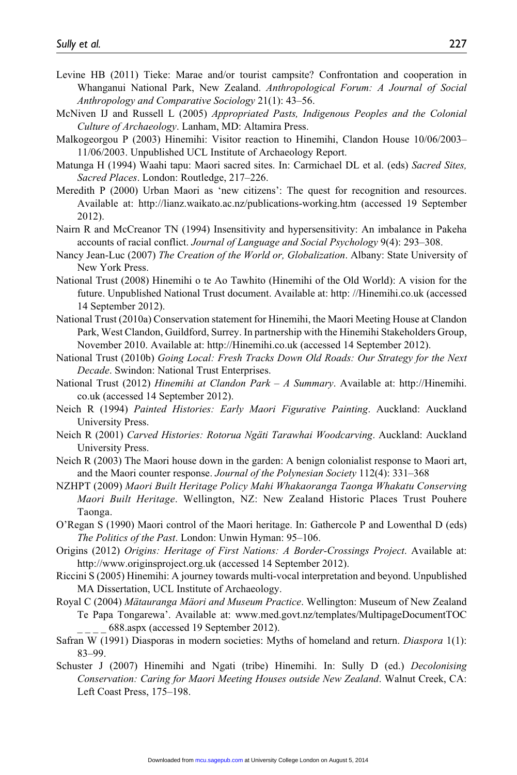- Levine HB (2011) Tieke: Marae and/or tourist campsite? Confrontation and cooperation in Whanganui National Park, New Zealand. *Anthropological Forum: A Journal of Social Anthropology and Comparative Sociology* 21(1): 43–56.
- McNiven IJ and Russell L (2005) *Appropriated Pasts, Indigenous Peoples and the Colonial Culture of Archaeology*. Lanham, MD: Altamira Press.
- Malkogeorgou P (2003) Hinemihi: Visitor reaction to Hinemihi, Clandon House 10/06/2003– 11/06/2003. Unpublished UCL Institute of Archaeology Report.
- Matunga H (1994) Waahi tapu: Maori sacred sites. In: Carmichael DL et al. (eds) *Sacred Sites, Sacred Places*. London: Routledge, 217–226.
- Meredith P (2000) Urban Maori as 'new citizens': The quest for recognition and resources. Available at: <http://lianz.waikato.ac.nz/publications-working.htm> (accessed 19 September 2012).
- Nairn R and McCreanor TN (1994) Insensitivity and hypersensitivity: An imbalance in Pakeha accounts of racial conflict. *Journal of Language and Social Psychology* 9(4): 293–308.
- Nancy Jean-Luc (2007) *The Creation of the World or, Globalization*. Albany: State University of New York Press.
- National Trust (2008) Hinemihi o te Ao Tawhito (Hinemihi of the Old World): A vision for the future. Unpublished National Trust document. Available at: [http: //Hinemihi.co.uk](http://Hinemihi.co.uk) (accessed 14 September 2012).
- National Trust (2010a) Conservation statement for Hinemihi, the Maori Meeting House at Clandon Park, West Clandon, Guildford, Surrey. In partnership with the Hinemihi Stakeholders Group, November 2010. Available at:<http://Hinemihi.co.uk>(accessed 14 September 2012).
- National Trust (2010b) *Going Local: Fresh Tracks Down Old Roads: Our Strategy for the Next Decade*. Swindon: National Trust Enterprises.
- National Trust (2012) *Hinemihi at Clandon Park A Summary*. Available at: [http://Hinemihi.](http://Hinemihi.co.uk) [co.uk](http://Hinemihi.co.uk) (accessed 14 September 2012).
- Neich R (1994) *Painted Histories: Early Maori Figurative Painting*. Auckland: Auckland University Press.
- Neich R (2001) *Carved Histories: Rotorua Ngäti Tarawhai Woodcarving*. Auckland: Auckland University Press.
- Neich R (2003) The Maori house down in the garden: A benign colonialist response to Maori art, and the Maori counter response. *Journal of the Polynesian Society* 112(4): 331–368
- NZHPT (2009) *Maori Built Heritage Policy Mahi Whakaoranga Taonga Whakatu Conserving Maori Built Heritage*. Wellington, NZ: New Zealand Historic Places Trust Pouhere Taonga.
- O'Regan S (1990) Maori control of the Maori heritage. In: Gathercole P and Lowenthal D (eds) *The Politics of the Past*. London: Unwin Hyman: 95–106.
- Origins (2012) *Origins: Heritage of First Nations: A Border-Crossings Project*. Available at: <http://www.originsproject.org.uk>(accessed 14 September 2012).
- Riccini S (2005) Hinemihi: A journey towards multi-vocal interpretation and beyond. Unpublished MA Dissertation, UCL Institute of Archaeology.
- Royal C (2004) *Mätauranga Mäori and Museum Practice*. Wellington: Museum of New Zealand [Te Papa Tongarewa'. Available at:](www.med.govt.nz/templates/MultipageDocumentTOC_ _ _ _ 688.aspx) <www.med.govt.nz/templates/MultipageDocumentTOC> 688.aspx (accessed 19 September 2012).
- Safran W (1991) Diasporas in modern societies: Myths of homeland and return. *Diaspora* 1(1): 83–99.
- Schuster J (2007) Hinemihi and Ngati (tribe) Hinemihi. In: Sully D (ed.) *Decolonising Conservation: Caring for Maori Meeting Houses outside New Zealand*. Walnut Creek, CA: Left Coast Press, 175–198.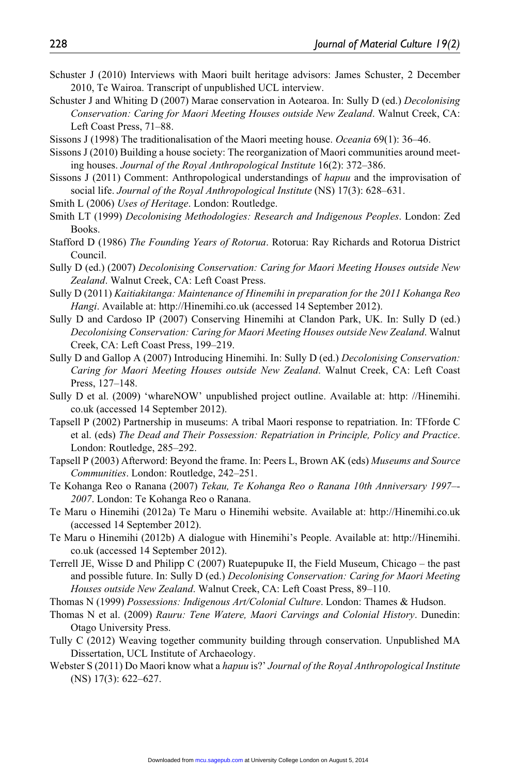- Schuster J (2010) Interviews with Maori built heritage advisors: James Schuster, 2 December 2010, Te Wairoa. Transcript of unpublished UCL interview.
- Schuster J and Whiting D (2007) Marae conservation in Aotearoa. In: Sully D (ed.) *Decolonising Conservation: Caring for Maori Meeting Houses outside New Zealand*. Walnut Creek, CA: Left Coast Press, 71–88.
- Sissons J (1998) The traditionalisation of the Maori meeting house. *Oceania* 69(1): 36–46.
- Sissons J (2010) Building a house society: The reorganization of Maori communities around meeting houses. *Journal of the Royal Anthropological Institute* 16(2): 372–386.
- Sissons J (2011) Comment: Anthropological understandings of *hapuu* and the improvisation of social life. *Journal of the Royal Anthropological Institute* (NS) 17(3): 628–631.
- Smith L (2006) *Uses of Heritage*. London: Routledge.
- Smith LT (1999) *Decolonising Methodologies: Research and Indigenous Peoples*. London: Zed Books.
- Stafford D (1986) *The Founding Years of Rotorua*. Rotorua: Ray Richards and Rotorua District Council.
- Sully D (ed.) (2007) *Decolonising Conservation: Caring for Maori Meeting Houses outside New Zealand*. Walnut Creek, CA: Left Coast Press.
- Sully D (2011) *Kaitiakitanga: Maintenance of Hinemihi in preparation for the 2011 Kohanga Reo Hangi*. Available at:<http://Hinemihi.co.uk>(accessed 14 September 2012).
- Sully D and Cardoso IP (2007) Conserving Hinemihi at Clandon Park, UK. In: Sully D (ed.) *Decolonising Conservation: Caring for Maori Meeting Houses outside New Zealand*. Walnut Creek, CA: Left Coast Press, 199–219.
- Sully D and Gallop A (2007) Introducing Hinemihi. In: Sully D (ed.) *Decolonising Conservation: Caring for Maori Meeting Houses outside New Zealand*. Walnut Creek, CA: Left Coast Press, 127–148.
- Sully D et al. (2009) 'whareNOW' unpublished project outline. Available at: [http: //Hinemihi.](http://Hinemihi.co.uk) [co.uk](http://Hinemihi.co.uk) (accessed 14 September 2012).
- Tapsell P (2002) Partnership in museums: A tribal Maori response to repatriation. In: TFforde C et al. (eds) *The Dead and Their Possession: Repatriation in Principle, Policy and Practice*. London: Routledge, 285–292.
- Tapsell P (2003) Afterword: Beyond the frame. In: Peers L, Brown AK (eds) *Museums and Source Communities*. London: Routledge, 242–251.
- Te Kohanga Reo o Ranana (2007) *Tekau, Te Kohanga Reo o Ranana 10th Anniversary 1997–- 2007*. London: Te Kohanga Reo o Ranana.
- Te Maru o Hinemihi (2012a) Te Maru o Hinemihi website. Available at: <http://Hinemihi.co.uk> (accessed 14 September 2012).
- Te Maru o Hinemihi (2012b) A dialogue with Hinemihi's People. Available at: [http://Hinemihi.](http://Hinemihi.co.uk) [co.uk](http://Hinemihi.co.uk) (accessed 14 September 2012).
- Terrell JE, Wisse D and Philipp C (2007) Ruatepupuke II, the Field Museum, Chicago the past and possible future. In: Sully D (ed.) *Decolonising Conservation: Caring for Maori Meeting Houses outside New Zealand*. Walnut Creek, CA: Left Coast Press, 89–110.
- Thomas N (1999) *Possessions: Indigenous Art/Colonial Culture*. London: Thames & Hudson.
- Thomas N et al. (2009) *Rauru: Tene Watere, Maori Carvings and Colonial History*. Dunedin: Otago University Press.
- Tully C (2012) Weaving together community building through conservation. Unpublished MA Dissertation, UCL Institute of Archaeology.
- Webster S (2011) Do Maori know what a *hapuu* is?' *Journal of the Royal Anthropological Institute* (NS) 17(3): 622–627.